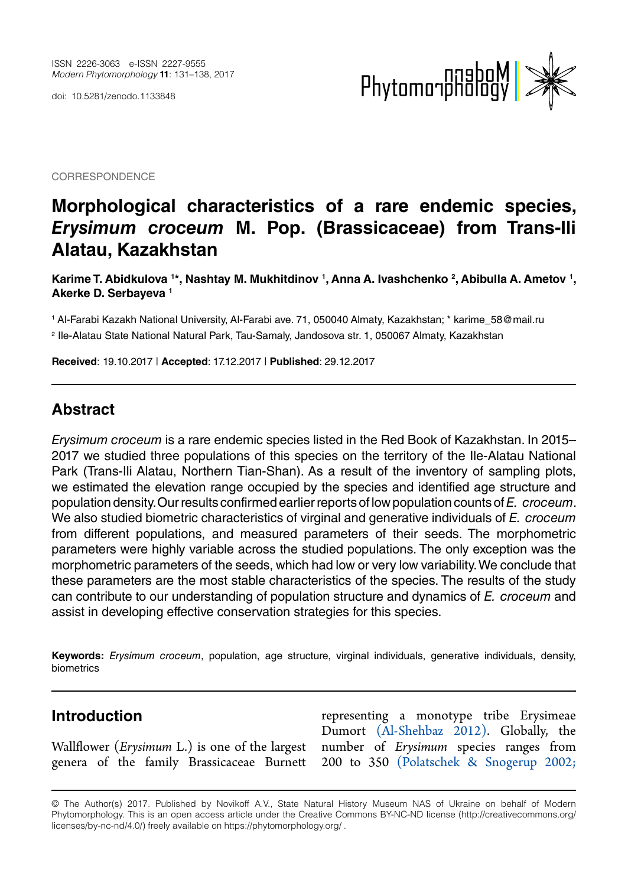doi: 10.5281/zenodo.1133848



**CORRESPONDENCE** 

# **Morphological characteristics of a rare endemic species,**  *Erysimum croceum* **M. Pop. (Brassicaceae) from Trans-Ili Alatau, Kazakhstan**

Karime T. Abidkulova 1\*, Nashtay M. Mukhitdinov 1, Anna A. Ivashchenko <sup>2</sup>, Abibulla A. Ametov 1, **Akerke D. Serbayeva 1**

1 Al-Farabi Kazakh National University, Al-Farabi ave. 71, 050040 Almaty, Kazakhstan; \* karime\_58@mail.ru 2 Ile-Alatau State National Natural Park, Tau-Samaly, Jandosova str. 1, 050067 Almaty, Kazakhstan

**Received**: 19.10.2017 | **Accepted**: 17.12.2017 | **Published**: 29.12.2017

## **Abstract**

*Erysimum croceum* is a rare endemic species listed in the Red Book of Kazakhstan. In 2015– 2017 we studied three populations of this species on the territory of the Ile-Alatau National Park (Trans-Ili Alatau, Northern Tian-Shan). As a result of the inventory of sampling plots, we estimated the elevation range occupied by the species and identified age structure and population density. Our results confirmed earlier reports of low population counts of *E. croceum*. We also studied biometric characteristics of virginal and generative individuals of *E. croceum* from different populations, and measured parameters of their seeds. The morphometric parameters were highly variable across the studied populations. The only exception was the morphometric parameters of the seeds, which had low or very low variability. We conclude that these parameters are the most stable characteristics of the species. The results of the study can contribute to our understanding of population structure and dynamics of *E. croceum* and assist in developing effective conservation strategies for this species.

**Keywords:** *Erysimum croceum*, population, age structure, virginal individuals, generative individuals, density, biometrics

#### **Introduction**

Wallflower (*Erysimum* L.) is one of the largest genera of the family Brassicaceae Burnett

representing a monotype tribe Erysimeae Dumort [\(Al-Shehbaz 2012\).](#page-6-0) Globally, the number of *Erysimum* species ranges from 200 to 350 (Polatschek & Snogerup 2002;

<sup>©</sup> The Author(s) 2017. Published by Novikoff A.V., State Natural History Museum NAS of Ukraine on behalf of Modern Phytomorphology. This is an open access article under the Creative Commons BY-NC-ND license (http://creativecommons.org/ licenses/by-nc-nd/4.0/) freely available on https://phytomorphology.org/ .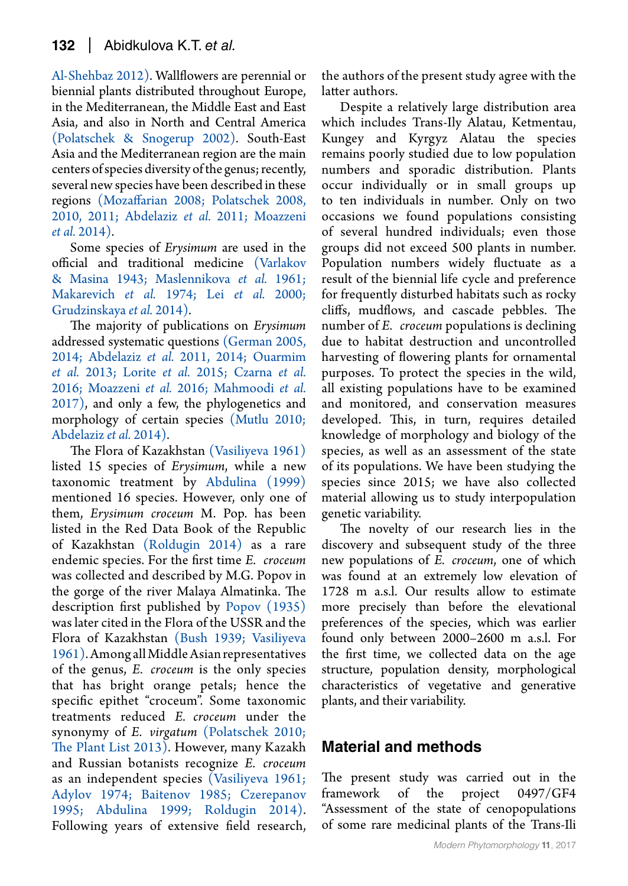[Al-Shehbaz 2012\).](#page-6-0) Wallflowers are perennial or biennial plants distributed throughout Europe, in the Mediterranean, the Middle East and East Asia, and also in North and Central America (Polatschek & Snogerup 2002). South-East Asia and the Mediterranean region are the main centers of species diversity of the genus; recently, several new species have been described in these regions [\(Mozaffarian 2008;](#page-6-1) [Polatschek 2008,](#page-7-0)  [2010,](#page-7-1) [2011;](#page-7-2) Abdelaziz *et al.* 2011; Moazzeni *et al.* 2014).

Some species of *Erysimum* are used in the official and traditional medicine [\(Varlakov](#page-7-3)  [& Masina 1943;](#page-7-3) [Maslennikova](#page-6-2) *et al.* 1961; [Makarevich](#page-6-3) *et al.* 1974; Lei *et al.* 2000; [Grudzinskaya](#page-6-4) *et al.* 2014).

The majority of publications on *Erysimum* addressed systematic questions [\(German 2005,](#page-6-5) 2014; Abdelaziz *et al.* 2011, 2014; [Ouarmim](#page-7-4)  *et al.* [2013;](#page-7-4) Lorite *et al.* 2015; Czarna *et al.* 2016; [Moazzeni](#page-6-6) *et al.* 2016; [Mahmoodi](#page-6-7) *et al.* [2017\)](#page-6-7), and only a few, the phylogenetics and morphology of certain species [\(Mutlu 2010;](#page-6-8)  Abdelaziz *et al.* 2014).

The Flora of Kazakhstan [\(Vasiliyeva 1961\)](#page-7-5) listed 15 species of *Erysimum*, while a new taxonomic treatment by [Abdulina \(1999\)](#page-6-9) mentioned 16 species. However, only one of them, *Erysimum croceum* M. Pop. has been listed in the Red Data Book of the Republic of Kazakhstan [\(Roldugin 2014\)](#page-7-6) as a rare endemic species. For the first time *E. croceum*  was collected and described by M.G. Popov in the gorge of the river Malaya Almatinka. The description first published by [Popov \(1935\)](#page-7-7)  was later cited in the Flora of the USSR and the Flora of Kazakhstan [\(Bush 1939;](#page-6-10) [Vasiliyeva](#page-7-5)  [1961\).](#page-7-5) Among all Middle Asian representatives of the genus, *E. croceum* is the only species that has bright orange petals; hence the specific epithet "croceum". Some taxonomic treatments reduced *E. croceum* under the synonymy of *E. virgatum* [\(Polatschek 2010;](#page-7-1) [The Plant List 2013\).](#page-7-8) However, many Kazakh and Russian botanists recognize *E. croceum*  as an independent species [\(Vasiliyeva 1961;](#page-7-5) Adylov 1974; [Baitenov 1985;](#page-6-11) [Czerepanov](#page-6-12)  [1995;](#page-6-12) [Abdulina 1999;](#page-6-9) [Roldugin 2014\).](#page-7-6) Following years of extensive field research,

the authors of the present study agree with the latter authors.

Despite a relatively large distribution area which includes Trans-Ily Alatau, Ketmentau, Kungey and Kyrgyz Alatau the species remains poorly studied due to low population numbers and sporadic distribution. Plants occur individually or in small groups up to ten individuals in number. Only on two occasions we found populations consisting of several hundred individuals; even those groups did not exceed 500 plants in number. Population numbers widely fluctuate as a result of the biennial life cycle and preference for frequently disturbed habitats such as rocky cliffs, mudflows, and cascade pebbles. The number of *E. croceum* populations is declining due to habitat destruction and uncontrolled harvesting of flowering plants for ornamental purposes. To protect the species in the wild, all existing populations have to be examined and monitored, and conservation measures developed. This, in turn, requires detailed knowledge of morphology and biology of the species, as well as an assessment of the state of its populations. We have been studying the species since 2015; we have also collected material allowing us to study interpopulation genetic variability.

The novelty of our research lies in the discovery and subsequent study of the three new populations of *E. croceum*, one of which was found at an extremely low elevation of 1728 m a.s.l. Our results allow to estimate more precisely than before the elevational preferences of the species, which was earlier found only between 2000–2600 m a.s.l. For the first time, we collected data on the age structure, population density, morphological characteristics of vegetative and generative plants, and their variability.

## **Material and methods**

The present study was carried out in the framework of the project 0497/GF4 "Assessment of the state of cenopopulations of some rare medicinal plants of the Trans-Ili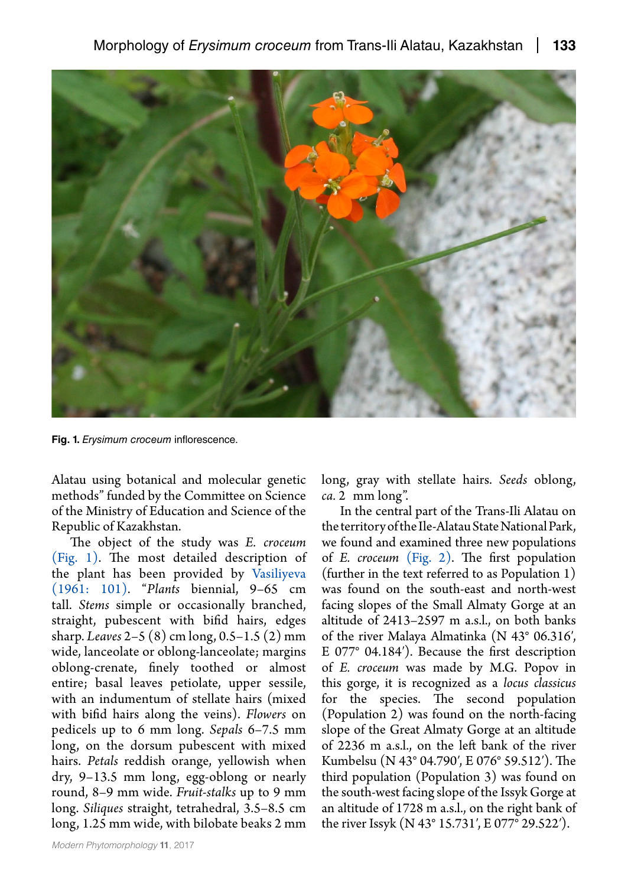

**Fig. 1.** *Erysimum croceum* inflorescence.

<span id="page-2-0"></span>Alatau using botanical and molecular genetic methods" funded by the Committee on Science of the Ministry of Education and Science of the Republic of Kazakhstan.

The object of the study was *E. croceum*  [\(Fig. 1\).](#page-2-0) The most detailed description of the plant has been provided by [Vasiliyeva](#page-7-5)  [\(1961: 101\).](#page-7-5) "*Plants* biennial, 9–65 cm tall. *Stems* simple or occasionally branched, straight, pubescent with bifid hairs, edges sharp. *Leaves* 2–5 (8) cm long, 0.5–1.5 (2) mm wide, lanceolate or oblong-lanceolate; margins oblong-crenate, finely toothed or almost entire; basal leaves petiolate, upper sessile, with an indumentum of stellate hairs (mixed with bifid hairs along the veins). *Flowers* on pedicels up to 6 mm long. *Sepals* 6–7.5 mm long, on the dorsum pubescent with mixed hairs. *Petals* reddish orange, yellowish when dry, 9–13.5 mm long, egg-oblong or nearly round, 8–9 mm wide. *Fruit-stalks* up to 9 mm long. *Siliques* straight, tetrahedral, 3.5–8.5 cm long, 1.25 mm wide, with bilobate beaks 2 mm long, gray with stellate hairs. *Seeds* oblong, *ca.* 2 mm long".

In the central part of the Trans-Ili Alatau on the territory of the Ile-Alatau State National Park, we found and examined three new populations of *E. croceum* [\(Fig. 2\).](#page-3-0) The first population (further in the text referred to as Population 1) was found on the south-east and north-west facing slopes of the Small Almaty Gorge at an altitude of 2413–2597 m a.s.l., on both banks of the river Malaya Almatinka (N 43° 06.316′, E 077° 04.184′). Because the first description of *E. croceum* was made by M.G. Popov in this gorge, it is recognized as a *locus classicus* for the species. The second population (Population 2) was found on the north-facing slope of the Great Almaty Gorge at an altitude of 2236 m a.s.l., on the left bank of the river Kumbelsu (N 43° 04.790′, E 076° 59.512′). The third population (Population 3) was found on the south-west facing slope of the Issyk Gorge at an altitude of 1728 m a.s.l., on the right bank of the river Issyk (N 43° 15.731′, E 077° 29.522′).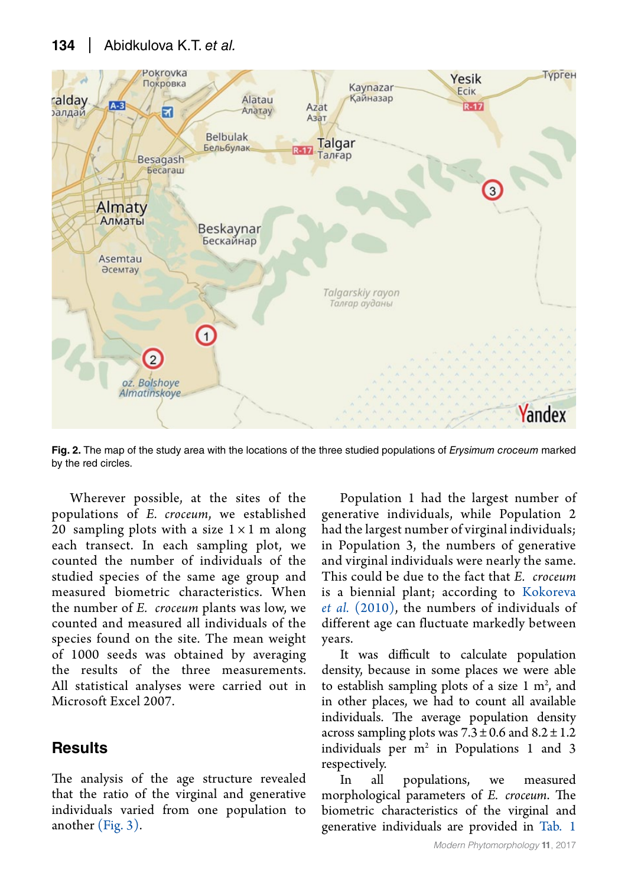#### **134** Abidkulova K.T. *et al.*



**Fig. 2.** The map of the study area with the locations of the three studied populations of *Erysimum croceum* marked by the red circles.

<span id="page-3-0"></span>Wherever possible, at the sites of the populations of *E. croceum*, we established 20 sampling plots with a size  $1 \times 1$  m along each transect. In each sampling plot, we counted the number of individuals of the studied species of the same age group and measured biometric characteristics. When the number of *E. croceum* plants was low, we counted and measured all individuals of the species found on the site. The mean weight of 1000 seeds was obtained by averaging the results of the three measurements. All statistical analyses were carried out in Microsoft Excel 2007.

### **Results**

The analysis of the age structure revealed that the ratio of the virginal and generative individuals varied from one population to another [\(Fig. 3\).](#page-4-0)

Population 1 had the largest number of generative individuals, while Population 2 had the largest number of virginal individuals; in Population 3, the numbers of generative and virginal individuals were nearly the same. This could be due to the fact that *E. croceum* is a biennial plant; according to Kokoreva *et al.* (2010), the numbers of individuals of different age can fluctuate markedly between years.

It was difficult to calculate population density, because in some places we were able to establish sampling plots of a size  $1 \text{ m}^2$ , and in other places, we had to count all available individuals. The average population density across sampling plots was  $7.3 \pm 0.6$  and  $8.2 \pm 1.2$ individuals per  $m^2$  in Populations 1 and 3 respectively.

In all populations, we measured morphological parameters of *E. croceum*. The biometric characteristics of the virginal and generative individuals are provided in [Tab.](#page-4-1) 1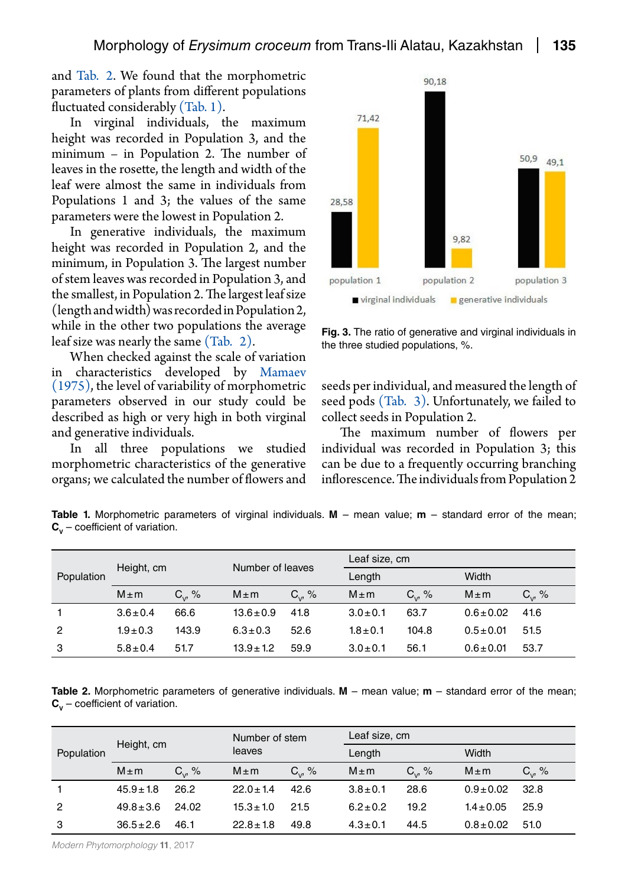and [Tab.](#page-4-2) 2. We found that the morphometric parameters of plants from different populations fluctuated considerably [\(Tab. 1\).](#page-4-1)

In virginal individuals, the maximum height was recorded in Population 3, and the minimum – in Population 2. The number of leaves in the rosette, the length and width of the leaf were almost the same in individuals from Populations 1 and 3; the values of the same parameters were the lowest in Population 2.

In generative individuals, the maximum height was recorded in Population 2, and the minimum, in Population 3. The largest number of stem leaves was recorded in Population 3, and the smallest, in Population 2. The largest leaf size (length and width) was recorded in Population 2, while in the other two populations the average leaf size was nearly the same [\(Tab.](#page-4-2) 2).

When checked against the scale of variation in characteristics developed by [Mamaev](#page-6-13)  [\(1975\),](#page-6-13) the level of variability of morphometric parameters observed in our study could be described as high or very high in both virginal and generative individuals.

In all three populations we studied morphometric characteristics of the generative organs; we calculated the number of flowers and



<span id="page-4-0"></span>**Fig. 3.** The ratio of generative and virginal individuals in the three studied populations, %.

seeds per individual, and measured the length of seed pods [\(Tab.](#page-5-0) 3). Unfortunately, we failed to collect seeds in Population 2.

The maximum number of flowers per individual was recorded in Population 3; this can be due to a frequently occurring branching inflorescence. The individuals from Population 2

<span id="page-4-1"></span>**Table 1.** Morphometric parameters of virginal individuals. **M** – mean value; **m** – standard error of the mean;  $C_v$  – coefficient of variation.

| Population     | Height, cm    |             | Number of leaves |           | Leaf size, cm |             |                |             |
|----------------|---------------|-------------|------------------|-----------|---------------|-------------|----------------|-------------|
|                |               |             |                  |           | Length        |             | Width          |             |
|                | $M \pm m$     | $C_{v}$ , % | $M \pm m$        | $C_{v}$ % | $M \pm m$     | $C_{v}$ , % | $M \pm m$      | $C_{v}$ , % |
|                | $3.6 \pm 0.4$ | 66.6        | $13.6 \pm 0.9$   | 41.8      | $3.0 \pm 0.1$ | 63.7        | $0.6 \pm 0.02$ | 41.6        |
| $\overline{2}$ | $1.9 \pm 0.3$ | 143.9       | $6.3 \pm 0.3$    | 52.6      | $1.8 \pm 0.1$ | 104.8       | $0.5 \pm 0.01$ | 51.5        |
| 3              | $5.8 \pm 0.4$ | 51.7        | $13.9 \pm 1.2$   | 59.9      | $3.0 \pm 0.1$ | 56.1        | $0.6 \pm 0.01$ | 53.7        |

<span id="page-4-2"></span>**Table 2.** Morphometric parameters of generative individuals. **M** – mean value; **m** – standard error of the mean;  $C_v$  – coefficient of variation.

| Population     | Height, cm     |           | Number of stem<br>leaves |             | Leaf size, cm |             |                |             |
|----------------|----------------|-----------|--------------------------|-------------|---------------|-------------|----------------|-------------|
|                |                |           |                          |             | Length        |             | Width          |             |
|                | $M \pm m$      | $C_{v}$ % | $M \pm m$                | $C_{v}$ , % | $M \pm m$     | $C_{v}$ , % | $M \pm m$      | $C_{v}$ , % |
|                | $45.9 \pm 1.8$ | 26.2      | $22.0 \pm 1.4$           | 42.6        | $3.8 \pm 0.1$ | 28.6        | $0.9 \pm 0.02$ | 32.8        |
| $\overline{2}$ | $49.8 \pm 3.6$ | 24.02     | $15.3 \pm 1.0$           | 21.5        | $6.2 \pm 0.2$ | 19.2        | $1.4 \pm 0.05$ | 25.9        |
| 3              | $36.5 \pm 2.6$ | 46.1      | $22.8 \pm 1.8$           | 49.8        | $4.3 \pm 0.1$ | 44.5        | $0.8 \pm 0.02$ | 51.0        |

*Modern Phytomorphology* **11**, 2017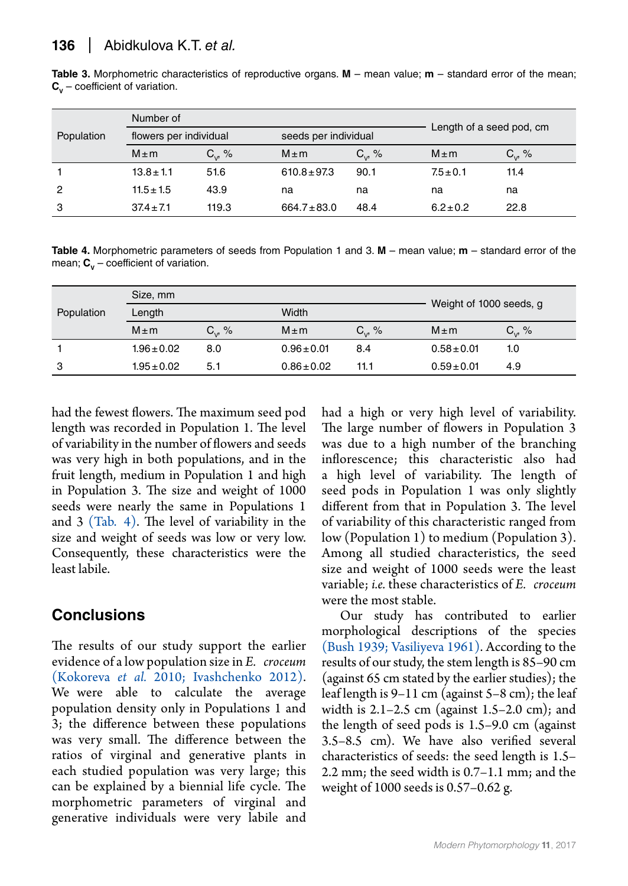<span id="page-5-0"></span>**Table 3.** Morphometric characteristics of reproductive organs. **M** – mean value; **m** – standard error of the mean;  $C_v$  – coefficient of variation.

| Population | Number of              |           | Length of a seed pod, cm |             |                      |             |
|------------|------------------------|-----------|--------------------------|-------------|----------------------|-------------|
|            | flowers per individual |           |                          |             | seeds per individual |             |
|            | $M \pm m$              | $C_{v}$ % | $M \pm m$                | $C_{v}$ , % | $M \pm m$            | $C_{v}$ , % |
|            | $13.8 \pm 1.1$         | 51.6      | $610.8 \pm 97.3$         | 90.1        | $7.5 \pm 0.1$        | 11.4        |
| 2          | $11.5 \pm 1.5$         | 43.9      | na                       | na          | na                   | na          |
| 3          | $37.4 \pm 7.1$         | 119.3     | $664.7 \pm 83.0$         | 48.4        | $6.2 \pm 0.2$        | 22.8        |

<span id="page-5-1"></span>**Table 4.** Morphometric parameters of seeds from Population 1 and 3. **M** – mean value; **m** – standard error of the mean;  $C_v$  – coefficient of variation.

|            | Size, mm        |              |                 |             |                         |             |
|------------|-----------------|--------------|-----------------|-------------|-------------------------|-------------|
| Population | Length          |              | Width           |             | Weight of 1000 seeds, g |             |
|            | $M \pm m$       | $C_{10}$ , % | $M \pm m$       | $C_{v}$ , % | $M \pm m$               | $C_{v}$ , % |
|            | $1.96 \pm 0.02$ | 8.0          | $0.96 \pm 0.01$ | 8.4         | $0.58 \pm 0.01$         | 1.0         |
| 3          | $1.95 \pm 0.02$ | 5.1          | $0.86 \pm 0.02$ | 11.1        | $0.59 \pm 0.01$         | 4.9         |

had the fewest flowers. The maximum seed pod length was recorded in Population 1. The level of variability in the number of flowers and seeds was very high in both populations, and in the fruit length, medium in Population 1 and high in Population 3. The size and weight of 1000 seeds were nearly the same in Populations 1 and 3 [\(Tab.](#page-5-1) 4). The level of variability in the size and weight of seeds was low or very low. Consequently, these characteristics were the least labile.

## **Conclusions**

The results of our study support the earlier evidence of a low population size in *E. croceum*  (Kokoreva *et al.* 2010; [Ivashchenko 2012\).](#page-6-14) We were able to calculate the average population density only in Populations 1 and 3; the difference between these populations was very small. The difference between the ratios of virginal and generative plants in each studied population was very large; this can be explained by a biennial life cycle. The morphometric parameters of virginal and generative individuals were very labile and had a high or very high level of variability. The large number of flowers in Population 3 was due to a high number of the branching inflorescence; this characteristic also had a high level of variability. The length of seed pods in Population 1 was only slightly different from that in Population 3. The level of variability of this characteristic ranged from low (Population 1) to medium (Population 3). Among all studied characteristics, the seed size and weight of 1000 seeds were the least variable; *i.e.* these characteristics of *E. croceum* were the most stable.

Our study has contributed to earlier morphological descriptions of the species [\(Bush 1939;](#page-6-10) [Vasiliyeva 1961\).](#page-7-5) According to the results of our study, the stem length is 85–90 cm (against 65 cm stated by the earlier studies); the leaf length is 9–11 cm (against 5–8 cm); the leaf width is  $2.1-2.5$  cm (against  $1.5-2.0$  cm); and the length of seed pods is 1.5–9.0 cm (against 3.5–8.5 cm). We have also verified several characteristics of seeds: the seed length is 1.5– 2.2 mm; the seed width is 0.7–1.1 mm; and the weight of 1000 seeds is 0.57–0.62 g.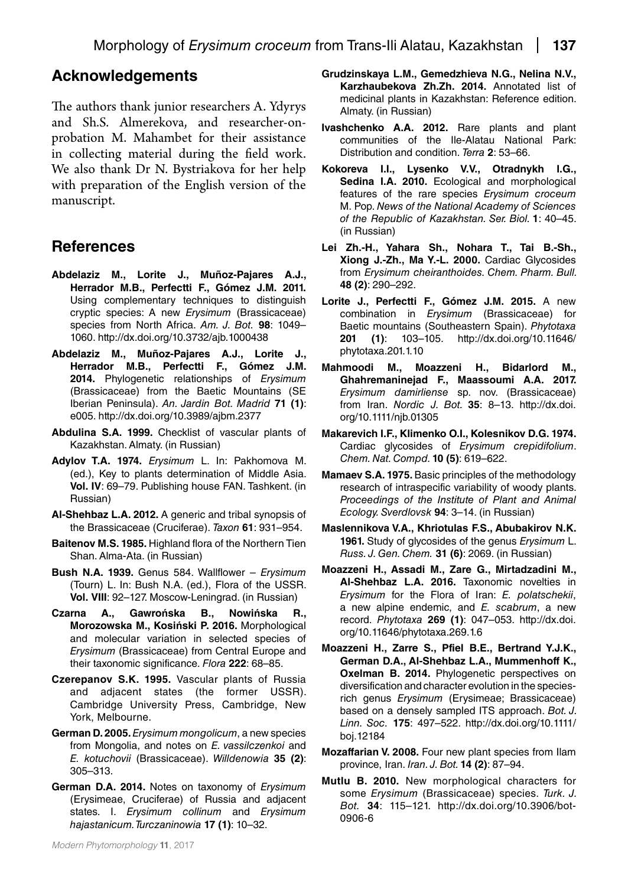#### **Acknowledgements**

The authors thank junior researchers A. Ydyrys and Sh.S. Almerekova, and researcher-onprobation M. Mahambet for their assistance in collecting material during the field work. We also thank Dr N. Bystriakova for her help with preparation of the English version of the manuscript.

#### **References**

- **Abdelaziz M., Lorite J., Muñoz-Pajares A.J., Herrador M.B., Perfectti F., Gómez J.M. 2011.** Using complementary techniques to distinguish cryptic species: A new *Erysimum* (Brassicaceae) species from North Africa. *Am. J. Bot.* **98**: 1049– 1060. http://dx.doi.org/10.3732/ajb.1000438
- **Abdelaziz M., Muñoz-Pajares A.J., Lorite J., Herrador M.B., Perfectti F., Gómez J.M. 2014.** Phylogenetic relationships of *Erysimum* (Brassicaceae) from the Baetic Mountains (SE Iberian Peninsula). *An. Jardin Bot. Madrid* **71 (1)**: e005. http://dx.doi.org/10.3989/ajbm.2377
- <span id="page-6-9"></span>**Abdulina S.A. 1999.** Checklist of vascular plants of Kazakhstan. Almaty. (in Russian)
- **Adylov T.A. 1974.** *Erysimum* L. In: Pakhomova M. (ed.), Key to plants determination of Middle Asia. **Vol. IV**: 69–79. Publishing house FAN. Tashkent. (in Russian)
- <span id="page-6-0"></span>**Al-Shehbaz L.A. 2012.** A generic and tribal synopsis of the Brassicaceae (Cruciferae). *Taxon* **61**: 931–954.
- <span id="page-6-11"></span>**Baitenov M.S. 1985.** Highland flora of the Northern Tien Shan. Alma-Ata. (in Russian)
- <span id="page-6-10"></span>**Bush N.A. 1939.** Genus 584. Wallflower – *Erysimum* (Tourn) L. In: Bush N.A. (ed.), Flora of the USSR. **Vol. VIII**: 92–127. Moscow-Leningrad. (in Russian)
- **Czarna A., Gawrońska B., Nowińska R., Morozowska M., Kosiński P. 2016.** Morphological and molecular variation in selected species of *Erysimum* (Brassicaceae) from Central Europe and their taxonomic significance. *Flora* **222**: 68–85.
- <span id="page-6-12"></span>**Czerepanov S.K. 1995.** Vascular plants of Russia and adjacent states (the former USSR). Cambridge University Press, Cambridge, New York, Melbourne.
- <span id="page-6-5"></span>**German D. 2005.** *Erysimum mongolicum*, a new species from Mongolia, and notes on *E. vassilczenkoi* and *E. kotuchovii* (Brassicaceae). *Willdenowia* **35 (2)**: 305–313.
- **German D.А. 2014.** Notes on taxonomy of *Erysimum* (Erysimeae, Cruciferae) of Russia and adjacent states. I. *Erysimum collinum* and *Erysimum hajastanicum. Turczaninowia* **17 (1)**: 10–32.
- <span id="page-6-4"></span>**Grudzinskaya L.M., Gemedzhieva N.G., Nelina N.V., Karzhaubekova Zh.Zh. 2014.** Annotated list of medicinal plants in Kazakhstan: Reference edition. Almaty. (in Russian)
- <span id="page-6-14"></span>**Ivashchenko A.A. 2012.** Rare plants and plant communities of the Ile-Alatau National Park: Distribution and condition. *Terra* **2**: 53–66.
- **Kokoreva I.I., Lysenko V.V., Otradnykh I.G., Sedina I.A. 2010.** Ecological and morphological features of the rare species *Erysimum croceum* M. Pop. *News of the National Academy of Sciences of the Republic of Kazakhstan. Ser. Biol.* **1**: 40–45. (in Russian)
- **Lei Zh.-H., Yahara Sh., Nohara T., Tai B.-Sh., Xiong J.-Zh., Ma Y.-L. 2000.** Cardiac Glycosides from *Erysimum cheiranthoides. Chem. Pharm. Bull.*  **48 (2)**: 290–292.
- **Lorite J., Perfectti F., Gómez J.M. 2015.** A new combination in *Erysimum* (Brassicaceae) for Baetic mountains (Southeastern Spain). *Phytotaxa* **201 (1)**: 103–105. http://dx.doi.org/10.11646/ phytotaxa.201.1.10
- <span id="page-6-7"></span>**Mahmoodi M., Moazzeni H., Bidarlord M., Ghahremaninejad F., Maassoumi A.A. 2017.**  *Erysimum damirliense* sp. nov. (Brassicaceae) from Iran. *Nordic J. Bot.* **35**: 8–13. http://dx.doi. org/10.1111/njb.01305
- <span id="page-6-3"></span>**Makarevich I.F., Klimenko O.I., Kolesnikov D.G. 1974.**  Cardiac glycosides of *Erysimum crepidifolium*. *Chem. Nat. Compd.* **10 (5)**: 619–622.
- <span id="page-6-13"></span>**Mamaev S.A. 1975.** Basic principles of the methodology research of intraspecific variability of woody plants. *Proceedings of the Institute of Plant and Animal Ecology. Sverdlovsk* **94**: 3–14. (in Russian)
- <span id="page-6-2"></span>**Maslennikova V.A., Khriotulas F.S., Abubakirov N.K. 1961.** Study of glycosides of the genus *Erysimum* L. *Russ. J. Gen. Chem.* **31 (6)**: 2069. (in Russian)
- <span id="page-6-6"></span>**Moazzeni H., Assadi M., Zare G., Mirtadzadini M., Al-Shehbaz L.A. 2016.** Taxonomic novelties in *Erysimum* for the Flora of Iran: *E. polatschekii*, a new alpine endemic, and *E. scabrum*, a new record. *Phytotaxa* **269 (1)**: 047–053. http://dx.doi. org/10.11646/phytotaxa.269.1.6
- **Moazzeni H., Zarre S., Pfiel B.E., Bertrand Y.J.K., German D.A., Al-Shehbaz L.A., Mummenhoff K., Oxelman B. 2014.** Phylogenetic perspectives on diversification and character evolution in the speciesrich genus *Erysimum* (Erysimeae; Brassicaceae) based on a densely sampled ITS approach. *Bot. J. Linn. Soc.* **175**: 497–522. http://dx.doi.org/10.1111/ boj.12184
- <span id="page-6-1"></span>**Mozaffarian V. 2008.** Four new plant species from Ilam province, Iran. *Iran. J. Bot.* **14 (2)**: 87–94.
- <span id="page-6-8"></span>**Mutlu B. 2010.** New morphological characters for some *Erysimum* (Brassicaceae) species. *Turk. J. Bot.* **34**: 115–121. http://dx.doi.org/10.3906/bot-0906-6